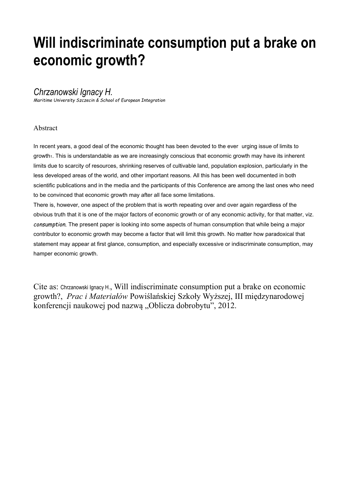# **Will indiscriminate consumption put a brake on economic growth?**

## *Chrzanowski Ignacy H.*

*Maritime University Szczecin & School of European Integration*

### Abstract

In recent years, a good deal of the economic thought has been devoted to the ever urging issue of limits to growth<sub>1</sub>. This is understandable as we are increasingly conscious that economic growth may have its inherent limits due to scarcity of resources, shrinking reserves of cultivable land, population explosion, particularly in the less developed areas of the world, and other important reasons. All this has been well documented in both scientific publications and in the media and the participants of this Conference are among the last ones who need to be convinced that economic growth may after all face some limitations.

There is, however, one aspect of the problem that is worth repeating over and over again regardless of the obvious truth that it is one of the major factors of economic growth or of any economic activity, for that matter, viz. *consumption.* The present paper is looking into some aspects of human consumption that while being a major contributor to economic growth may become a factor that will limit this growth. No matter how paradoxical that statement may appear at first glance, consumption, and especially excessive or indiscriminate consumption, may hamper economic growth.

Cite as: Chrzanowski Ignacy H., Will indiscriminate consumption put a brake on economic growth?, *Prac i Materiałów* Powiślańskiej Szkoły Wyższej, III międzynarodowej konferencji naukowej pod nazwą "Oblicza dobrobytu", 2012.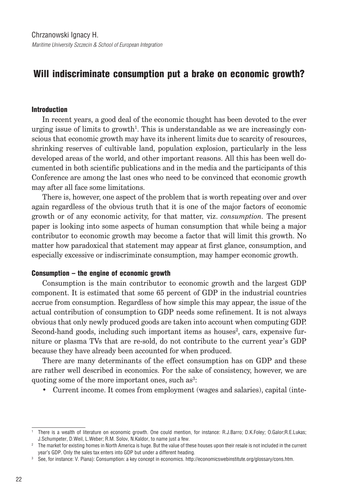## Will indiscriminate consumption put a brake on economic growth?

#### Introduction

In recent years, a good deal of the economic thought has been devoted to the ever urging issue of limits to growth<sup>1</sup>. This is understandable as we are increasingly conscious that economic growth may have its inherent limits due to scarcity of resources, shrinking reserves of cultivable land, population explosion, particularly in the less developed areas of the world, and other important reasons. All this has been well documented in both scientific publications and in the media and the participants of this Conference are among the last ones who need to be convinced that economic growth may after all face some limitations.

There is, however, one aspect of the problem that is worth repeating over and over again regardless of the obvious truth that it is one of the major factors of economic growth or of any economic activity, for that matter, viz. *consumption.* The present paper is looking into some aspects of human consumption that while being a major contributor to economic growth may become a factor that will limit this growth. No matter how paradoxical that statement may appear at first glance, consumption, and especially excessive or indiscriminate consumption, may hamper economic growth.

#### Consumption – the engine of economic growth

Consumption is the main contributor to economic growth and the largest GDP component. It is estimated that some 65 percent of GDP in the industrial countries accrue from consumption. Regardless of how simple this may appear, the issue of the actual contribution of consumption to GDP needs some refinement. It is not always obvious that only newly produced goods are taken into account when computing GDP. Second-hand goods, including such important items as houses<sup>2</sup>, cars, expensive furniture or plasma TVs that are re-sold, do not contribute to the current year's GDP because they have already been accounted for when produced.

There are many determinants of the effect consumption has on GDP and these are rather well described in economics. For the sake of consistency, however, we are quoting some of the more important ones, such as<sup>3</sup>:

• Current income. It comes from employment (wages and salaries), capital (inte-

<sup>&</sup>lt;sup>1</sup> There is a wealth of literature on economic growth. One could mention, for instance: R.J.Barro; D.K.Foley; O.Galor;R.E.Lukas; J.Schumpeter, D.Weil, L.Weber; R.M. Solov, N.Kaldor, to name just a few.

<sup>&</sup>lt;sup>2</sup> The market for existing homes in North America is huge. But the value of these houses upon their resale is not included in the current year's GDP. Only the sales tax enters into GDP but under a different heading.

<sup>&</sup>lt;sup>3</sup> See, for instance: V. Piana): Consumption: a key concept in economics. http://economicswebinstitute.org/glossary/cons.htm.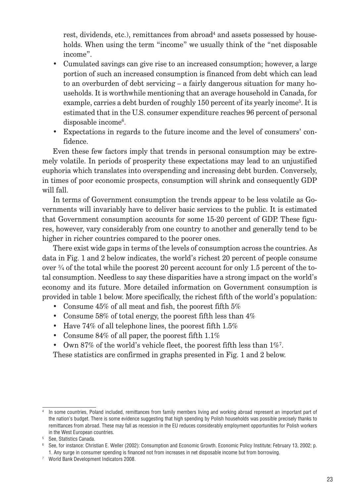rest, dividends, etc.), remittances from abroad $^4$  and assets possessed by households. When using the term "income" we usually think of the "net disposable income".

- Cumulated savings can give rise to an increased consumption; however, a large portion of such an increased consumption is financed from debt which can lead to an overburden of debt servicing – a fairly dangerous situation for many households. It is worthwhile mentioning that an average household in Canada, for example, carries a debt burden of roughly 150 percent of its yearly income<sup>5</sup>. It is estimated that in the U.S. consumer expenditure reaches 96 percent of personal disposable income<sup>6</sup>.
- Expectations in regards to the future income and the level of consumers' confidence.

Even these few factors imply that trends in personal consumption may be extremely volatile. In periods of prosperity these expectations may lead to an unjustified euphoria which translates into overspending and increasing debt burden. Conversely, in times of poor economic prospects, consumption will shrink and consequently GDP will fall.

In terms of Government consumption the trends appear to be less volatile as Governments will invariably have to deliver basic services to the public. It is estimated that Government consumption accounts for some 15-20 percent of GDP. These figures, however, vary considerably from one country to another and generally tend to be higher in richer countries compared to the poorer ones.

There exist wide gaps in terms of the levels of consumption across the countries. As data in Fig. 1 and 2 below indicates, the world's richest 20 percent of people consume over  $\frac{3}{4}$  of the total while the poorest 20 percent account for only 1.5 percent of the total consumption. Needless to say these disparities have a strong impact on the world's economy and its future. More detailed information on Government consumption is provided in table 1 below. More specifically, the richest fifth of the world's population:

- Consume 45% of all meat and fish, the poorest fifth 5%
- Consume 58% of total energy, the poorest fifth less than  $4\%$
- Have  $74\%$  of all telephone lines, the poorest fifth  $1.5\%$
- Consume 84% of all paper, the poorest fifth 1.1%
- Own 87% of the world's vehicle fleet, the poorest fifth less than  $1\%$ <sup>7</sup>.

These statistics are confirmed in graphs presented in Fig. 1 and 2 below.

<sup>&</sup>lt;sup>4</sup> In some countries, Poland included, remittances from family members living and working abroad represent an important part of the nation's budget. There is some evidence suggesting that high spending by Polish households was possible precisely thanks to remittances from abroad. These may fall as recession in the EU reduces considerably employment opportunities for Polish workers in the West European countries.

<sup>&</sup>lt;sup>5</sup> See, Statistics Canada.

<sup>6</sup> See, for instance: Christian E. Weller (2002): Consumption and Economic Growth. Economic Policy Institute; February 13, 2002; p. 1. Any surge in consumer spending is financed not from increases in net disposable income but from borrowing.

<sup>&</sup>lt;sup>7</sup> World Bank Development Indicators 2008.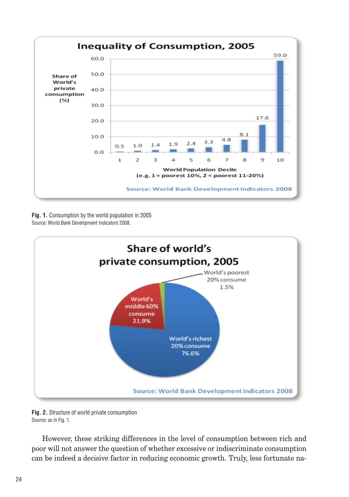

**Fig. 1.** Consumption by the world population in 2005 Source: World Bank Development Indicators 2008.



Fig. 2. Structure of world private consumption Source: as in Fig. 1.

However, these striking differences in the level of consumption between rich and poor will not answer the question of whether excessive or indiscriminate consumption can be indeed a decisive factor in reducing economic growth. Truly, less fortunate na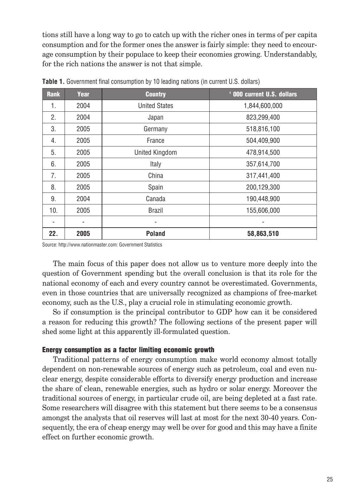tions still have a long way to go to catch up with the richer ones in terms of per capita consumption and for the former ones the answer is fairly simple: they need to encourage consumption by their populace to keep their economies growing. Understandably, for the rich nations the answer is not that simple.

| <b>Rank</b> | Year | <b>Country</b>       | ' 000 current U.S. dollars |  |
|-------------|------|----------------------|----------------------------|--|
| 1.          | 2004 | <b>United States</b> | 1,844,600,000              |  |
| 2.          | 2004 | Japan                | 823,299,400                |  |
| 3.          | 2005 | Germany              | 518,816,100                |  |
| 4.          | 2005 | France               | 504,409,900                |  |
| 5.          | 2005 | United Kingdom       | 478,914,500                |  |
| 6.          | 2005 | Italy                | 357,614,700                |  |
| 7.          | 2005 | China                | 317,441,400                |  |
| 8.          | 2005 | Spain                | 200,129,300                |  |
| 9.          | 2004 | Canada               | 190,448,900                |  |
| 10.         | 2005 | <b>Brazil</b>        | 155,606,000                |  |
|             |      | $\overline{a}$       |                            |  |
| 22.         | 2005 | <b>Poland</b>        | 58,863,510                 |  |

**Table 1.** Government final consumption by 10 leading nations (in current U.S. dollars)

Source: http://www.nationmaster.com: Government Statistics

The main focus of this paper does not allow us to venture more deeply into the question of Government spending but the overall conclusion is that its role for the national economy of each and every country cannot be overestimated. Governments, even in those countries that are universally recognized as champions of free-market economy, such as the U.S., play a crucial role in stimulating economic growth.

So if consumption is the principal contributor to GDP how can it be considered a reason for reducing this growth? The following sections of the present paper will shed some light at this apparently ill-formulated question.

#### Energy consumption as a factor limiting economic growth

Traditional patterns of energy consumption make world economy almost totally dependent on non-renewable sources of energy such as petroleum, coal and even nuclear energy, despite considerable efforts to diversify energy production and increase the share of clean, renewable energies, such as hydro or solar energy. Moreover the traditional sources of energy, in particular crude oil, are being depleted at a fast rate. Some researchers will disagree with this statement but there seems to be a consensus amongst the analysts that oil reserves will last at most for the next 30-40 years. Consequently, the era of cheap energy may well be over for good and this may have a finite effect on further economic growth.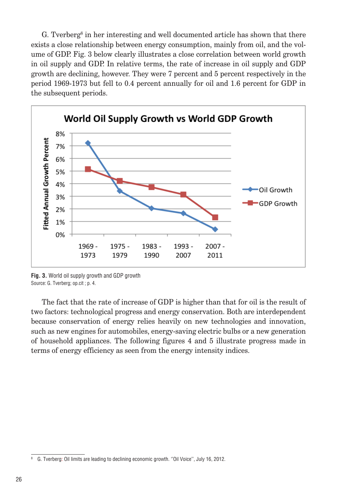G. Tverberg<sup>8</sup> in her interesting and well documented article has shown that there exists a close relationship between energy consumption, mainly from oil, and the volume of GDP. Fig. 3 below clearly illustrates a close correlation between world growth in oil supply and GDP. In relative terms, the rate of increase in oil supply and GDP growth are declining, however. They were 7 percent and 5 percent respectively in the period 1969-1973 but fell to 0.4 percent annually for oil and 1.6 percent for GDP in the subsequent periods.



**Fig. 3.** World oil supply growth and GDP growth Source: G. Tverberg; op.cit ; p. 4.

The fact that the rate of increase of GDP is higher than that for oil is the result of two factors: technological progress and energy conservation. Both are interdependent because conservation of energy relies heavily on new technologies and innovation, such as new engines for automobiles, energy-saving electric bulbs or a new generation of household appliances. The following figures 4 and 5 illustrate progress made in terms of energy efficiency as seen from the energy intensity indices.

G. Tverberg: Oil limits are leading to declining economic growth. "Oil Voice", July 16, 2012.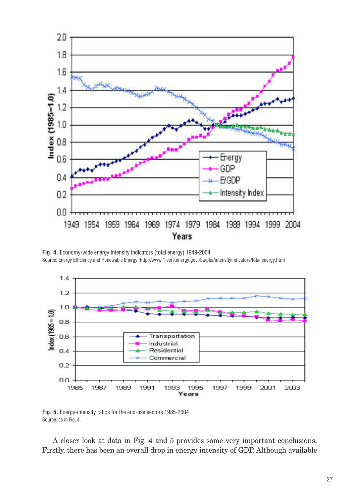

Fig. 4. Economy-wide energy intensity indicators (total energy) 1949-2004 Source: Energy Efficiency and Renewable Energy; http://www.1.eere.energy.gov./ba/pba/intensityindicators/total energy.html



Fig. 5. Energy-intensity ratios for the end-use sectors 1985-2004 Source: as in Fig. 4.

A closer look at data in Fig. 4 and 5 provides some very important conclusions. Firstly, there has been an overall drop in energy intensity of GDP. Although available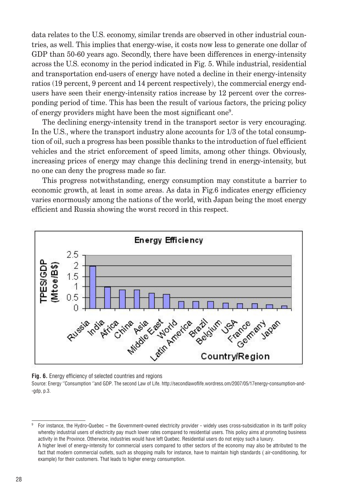data relates to the U.S. economy, similar trends are observed in other industrial countries, as well. This implies that energy-wise, it costs now less to generate one dollar of GDP than 50-60 years ago. Secondly, there have been differences in energy-intensity across the U.S. economy in the period indicated in Fig. 5. While industrial, residential and transportation end-users of energy have noted a decline in their energy-intensity ratios (19 percent, 9 percent and 14 percent respectively), the commercial energy endusers have seen their energy-intensity ratios increase by 12 percent over the corresponding period of time. This has been the result of various factors, the pricing policy of energy providers might have been the most significant one<sup>9</sup> .

The declining energy-intensity trend in the transport sector is very encouraging. In the U.S., where the transport industry alone accounts for 1/3 of the total consumption of oil, such a progress has been possible thanks to the introduction of fuel efficient vehicles and the strict enforcement of speed limits, among other things. Obviously, increasing prices of energy may change this declining trend in energy-intensity, but no one can deny the progress made so far.

This progress notwithstanding, energy consumption may constitute a barrier to economic growth, at least in some areas. As data in Fig.6 indicates energy efficiency varies enormously among the nations of the world, with Japan being the most energy efficient and Russia showing the worst record in this respect.



**Fig. 6.** Energy efficiency of selected countries and regions

Source: Energy "Consumption "and GDP. The second Law of Life. http://secondlawoflife.wordress.om/2007/05/17energy-consumption-and- $-gdp$ , p.3.

9 For instance, the Hydro-Quebec - the Government-owned electricity provider - widely uses cross-subsidization in its tariff policy whereby industrial users of electricity pay much lower rates compared to residential users. This policy aims at promoting business activity in the Province. Otherwise, industries would have left Quebec. Residential users do not enjoy such a luxury. A higher level of energy-intensity for commercial users compared to other sectors of the economy may also be attributed to the fact that modern commercial outlets, such as shopping malls for instance, have to maintain high standards (air-conditioning, for example) for their customers. That leads to higher energy consumption.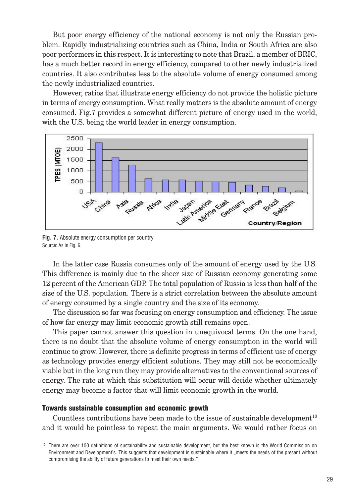But poor energy efficiency of the national economy is not only the Russian problem. Rapidly industrializing countries such as China, India or South Africa are also poor performers in this respect. It is interesting to note that Brazil, a member of BRIC, has a much better record in energy efficiency, compared to other newly industrialized countries. It also contributes less to the absolute volume of energy consumed among the newly industrialized countries.

However, ratios that illustrate energy efficiency do not provide the holistic picture in terms of energy consumption. What really matters is the absolute amount of energy consumed. Fig.7 provides a somewhat different picture of energy used in the world, with the U.S. being the world leader in energy consumption.



**Fig. 7.** Absolute energy consumption per country Source: As in Fig. 6.

In the latter case Russia consumes only of the amount of energy used by the U.S. This difference is mainly due to the sheer size of Russian economy generating some 12 percent of the American GDP. The total population of Russia is less than half of the size of the U.S. population. There is a strict correlation between the absolute amount of energy consumed by a single country and the size of its economy.

The discussion so far was focusing on energy consumption and efficiency. The issue of how far energy may limit economic growth still remains open.

This paper cannot answer this question in unequivocal terms. On the one hand, there is no doubt that the absolute volume of energy consumption in the world will continue to grow. However, there is definite progress in terms of efficient use of energy as technology provides energy efficient solutions. They may still not be economically viable but in the long run they may provide alternatives to the conventional sources of energy. The rate at which this substitution will occur will decide whether ultimately energy may become a factor that will limit economic growth in the world.

#### Towards sustainable consumption and economic growth

Countless contributions have been made to the issue of sustainable development<sup>10</sup> and it would be pointless to repeat the main arguments. We would rather focus on

<sup>&</sup>lt;sup>10</sup> There are over 100 definitions of sustainability and sustainable development, but the best known is the World Commission on Environment and Development's. This suggests that development is sustainable where it "meets the needs of the present without compromising the ability of future generations to meet their own needs."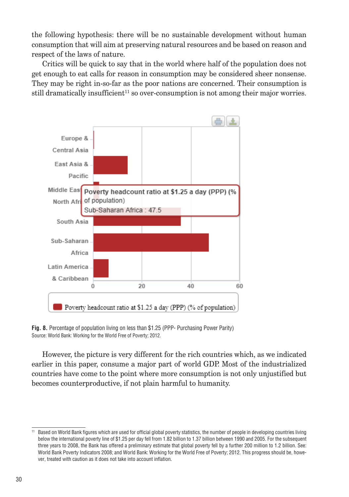the following hypothesis: there will be no sustainable development without human consumption that will aim at preserving natural resources and be based on reason and respect of the laws of nature.

Critics will be quick to say that in the world where half of the population does not get enough to eat calls for reason in consumption may be considered sheer nonsense. They may be right in-so-far as the poor nations are concerned. Their consumption is still dramatically insufficient<sup>11</sup> so over-consumption is not among their major worries.



Fig. 8. Percentage of population living on less than \$1.25 (PPP- Purchasing Power Parity) Source: World Bank: Working for the World Free of Poverty; 2012.

However, the picture is very different for the rich countries which, as we indicated earlier in this paper, consume a major part of world GDP. Most of the industrialized countries have come to the point where more consumption is not only unjustified but becomes counterproductive, if not plain harmful to humanity.

<sup>&</sup>lt;sup>11</sup> Based on World Bank figures which are used for official global poverty statistics, the number of people in developing countries living below the international poverty line of \$1.25 per day fell from 1.82 billion to 1.37 billion between 1990 and 2005. For the subsequent three years to 2008, the Bank has offered a preliminary estimate that global poverty fell by a further 200 million to 1.2 billion. See: World Bank Poverty Indicators 2008; and World Bank: Working for the World Free of Poverty; 2012. This progress should be, however, treated with caution as it does not take into account inflation.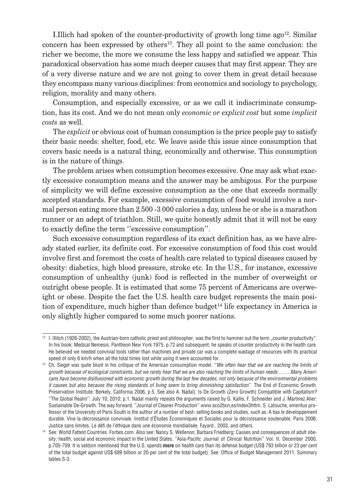I.Illich had spoken of the counter-productivity of growth long time ago<sup>12</sup>. Similar concern has been expressed by others<sup>13</sup>. They all point to the same conclusion: the richer we become, the more we consume the less happy and satisfied we appear. This paradoxical observation has some much deeper causes that may first appear. They are of a very diverse nature and we are not going to cover them in great detail because they encompass many various disciplines: from economics and sociology to psychology, religion, morality and many others.

Consumption, and especially excessive, or as we call it indiscriminate consumption, has its cost. And we do not mean only *economic or explicit cost* but some *implicit costs* as well.

The *explicit* or obvious cost of human consumption is the price people pay to satisfy their basic needs: shelter, food, etc. We leave aside this issue since consumption that covers basic needs is a natural thing, economically and otherwise. This consumption is in the nature of things.

The problem arises when consumption becomes excessive. One may ask what exactly excessive consumption means and the answer may be ambigous. For the purpose of simplicity we will define excessive consumption as the one that exceeds normally accepted standards. For example, excessive consumption of food would involve a normal person eating more than 2 500 -3 000 calories a day, unless he or she is a marathon runner or an adept of triathlon. Still, we quite honestly admit that it will not be easy to exactly define the term ''excessive consumption''.

Such excessive consumption regardless of its exact definition has, as we have already stated earlier, its definite cost. For excessive consumption of food this cost would involve first and foremost the costs of health care related to typical diseases caused by obesity: diabetics, high blood pressure, stroke etc. In the U.S., for instance, excessive consumption of unhealthy (junk) food is reflected in the number of overweight or outright obese people. It is estimated that some 75 percent of Americans are overweight or obese. Despite the fact the U.S. health care budget represents the main position of expenditure, much higher than defence budget<sup>14</sup> life expectancy in America is only slightly higher compared to some much poorer nations.

<sup>&</sup>lt;sup>12</sup> I. Illitch (1926-2002), the Austrian-born catholic priest and philosopher, was the first to hammer out the term "counter productivity". In his book: Medical Nemesis. Pantheon New York 1975, p.72 and subsequent, he speaks of counter productivity in the health care. He believed we needed convivial tools rather than machines and private car was a complete wastage of resources with its practical speed of only 6 km/h when all the total times lost while using it were accounted for.

<sup>&</sup>lt;sup>13</sup> Ch. Siegel was quite blunt in his critique of the American consumption model. "We often hear that we are reaching the limits of *growth because of ecological constraints, but we rarely hear that we are also reaching the limits of human needs……..Many Americans have become disillusioned with economic growth during the last few decades, not only because of the environmental problems it causes but also because the rising standards of living seem to bring diminishing satisfaction*". The End of Economic Growth. Preservation Institute. Berkely, California 2006, p.5. See also A. Nadal): Is De Growth (Zero Growth) Compatible with Capitalism? "The Global Realm". July 10, 2010; p.1. Nadal mainly repeats the arguments raised by G. Kallis, F. Schneider and J. Martinez Alier: Sustainable De-Growth. The way forward. "Journal of Cleaner Production".www.eco2bcn,es/index3httm. S. Latouche, emeritus professor of the University of Paris South is the author of a number of best- selling books and studies, such as: A bas le développement durable. Vive la décroissance conviviale. Institut d'Études Économiques et Sociales pour la décroissance soutenable. Paris 2006; Justice sans limites. Le défi de l'éthique dans une économie mondialisée. Fayard, 2003, and others.

<sup>&</sup>lt;sup>14</sup> See: World Fattest Countries. Forbes.com. Also see: Nancy S. Wellenon; Barbara Friedberg: Causes and consequences of adult obesity: health, social and economic impact in the United States. "Asia-Pacific Journal of Clinical Nutrition" Vol. II; December 2000, p.705-709. It is seldom mentioned that the U.S. spends more on health care than its defense budget (US\$ 793 billion or 23 per cent of the total budget against US\$ 689 billion or 20 per cent of the total budget). See: Office of Budget Management 2011. Summary tables S-3.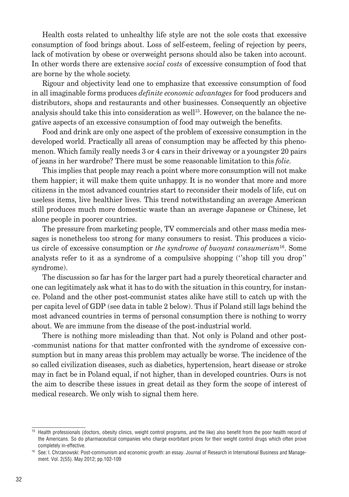Health costs related to unhealthy life style are not the sole costs that excessive consumption of food brings about. Loss of self-esteem, feeling of rejection by peers, lack of motivation by obese or overweight persons should also be taken into account. In other words there are extensive *social costs* of excessive consumption of food that are borne by the whole society.

Rigour and objectivity lead one to emphasize that excessive consumption of food in all imaginable forms produces *definite economic advantages* for food producers and distributors, shops and restaurants and other businesses. Consequently an objective analysis should take this into consideration as well<sup>15</sup>. However, on the balance the negative aspects of an excessive consumption of food may outweigh the benefits.

Food and drink are only one aspect of the problem of excessive consumption in the developed world. Practically all areas of consumption may be affected by this phenomenon. Which family really needs 3 or 4 cars in their driveway or a youngster 20 pairs of jeans in her wardrobe? There must be some reasonable limitation to this *folie.*

This implies that people may reach a point where more consumption will not make them happier; it will make them quite unhappy. It is no wonder that more and more citizens in the most advanced countries start to reconsider their models of life, cut on useless items, live healthier lives. This trend notwithstanding an average American still produces much more domestic waste than an average Japanese or Chinese, let alone people in poorer countries.

The pressure from marketing people, TV commercials and other mass media messages is nonetheless too strong for many consumers to resist. This produces a vicious circle of excessive consumption or *the syndrome of buoyant consumerism*<sup>16</sup>. Some analysts refer to it as a syndrome of a compulsive shopping (''shop till you drop'' syndrome).

The discussion so far has for the larger part had a purely theoretical character and one can legitimately ask what it has to do with the situation in this country, for instance. Poland and the other post-communist states alike have still to catch up with the per capita level of GDP (see data in table 2 below). Thus if Poland still lags behind the most advanced countries in terms of personal consumption there is nothing to worry about. We are immune from the disease of the post-industrial world.

There is nothing more misleading than that. Not only is Poland and other post- -communist nations for that matter confronted with the syndrome of excessive consumption but in many areas this problem may actually be worse. The incidence of the so called civilization diseases, such as diabetics, hypertension, heart disease or stroke may in fact be in Poland equal, if not higher, than in developed countries. Ours is not the aim to describe these issues in great detail as they form the scope of interest of medical research. We only wish to signal them here.

<sup>&</sup>lt;sup>15</sup> Health professionals (doctors, obesity clinics, weight control programs, and the like) also benefit from the poor health record of the Americans. So do pharmaceutical companies who charge exorbitant prices for their weight control drugs which often prove completely in-effective.

<sup>16</sup> See: I. Chrzanowski: Post-communism and economic growth: an essay. Journal of Research in International Business and Management. Vol. 2(55). May 2012; pp.102-109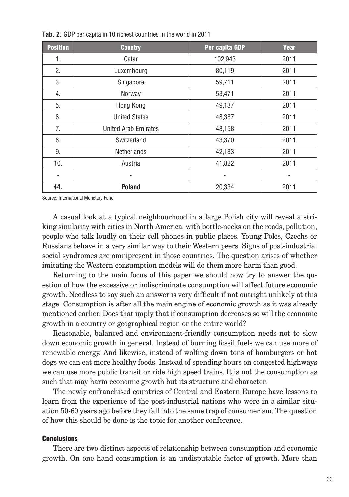| <b>Position</b> | <b>Country</b>       | Per capita GDP | Year |
|-----------------|----------------------|----------------|------|
| 1.              | Qatar                | 102,943        | 2011 |
| 2.              | Luxembourg           | 80,119         | 2011 |
| 3.              | Singapore            | 59,711         | 2011 |
| 4.              | Norway               | 53,471         | 2011 |
| 5.              | Hong Kong            | 49,137         | 2011 |
| 6.              | <b>United States</b> | 48,387         | 2011 |
| 7.              | United Arab Emirates | 48,158         | 2011 |
| 8.              | Switzerland          | 43,370         | 2011 |
| 9.              | <b>Netherlands</b>   | 42,183         | 2011 |
| 10.             | Austria              | 41,822         | 2011 |
| -               |                      |                |      |
| 44.             | Poland               | 20,334         | 2011 |

**Tab. 2.** GDP per capita in 10 richest countries in the world in 2011

Source: International Monetary Fund

A casual look at a typical neighbourhood in a large Polish city will reveal a striking similarity with cities in North America, with bottle-necks on the roads, pollution, people who talk loudly on their cell phones in public places. Young Poles, Czechs or Russians behave in a very similar way to their Western peers. Signs of post-industrial social syndromes are omnipresent in those countries. The question arises of whether imitating the Western consumption models will do them more harm than good.

Returning to the main focus of this paper we should now try to answer the question of how the excessive or indiscriminate consumption will affect future economic growth. Needless to say such an answer is very difficult if not outright unlikely at this stage. Consumption is after all the main engine of economic growth as it was already mentioned earlier. Does that imply that if consumption decreases so will the economic growth in a country or geographical region or the entire world?

Reasonable, balanced and environment-friendly consumption needs not to slow down economic growth in general. Instead of burning fossil fuels we can use more of renewable energy. And likewise, instead of wolfing down tons of hamburgers or hot dogs we can eat more healthy foods. Instead of spending hours on congested highways we can use more public transit or ride high speed trains. It is not the consumption as such that may harm economic growth but its structure and character.

The newly enfranchised countries of Central and Eastern Europe have lessons to learn from the experience of the post-industrial nations who were in a similar situation 50-60 years ago before they fall into the same trap of consumerism. The question of how this should be done is the topic for another conference.

#### **Conclusions**

There are two distinct aspects of relationship between consumption and economic growth. On one hand consumption is an undisputable factor of growth. More than